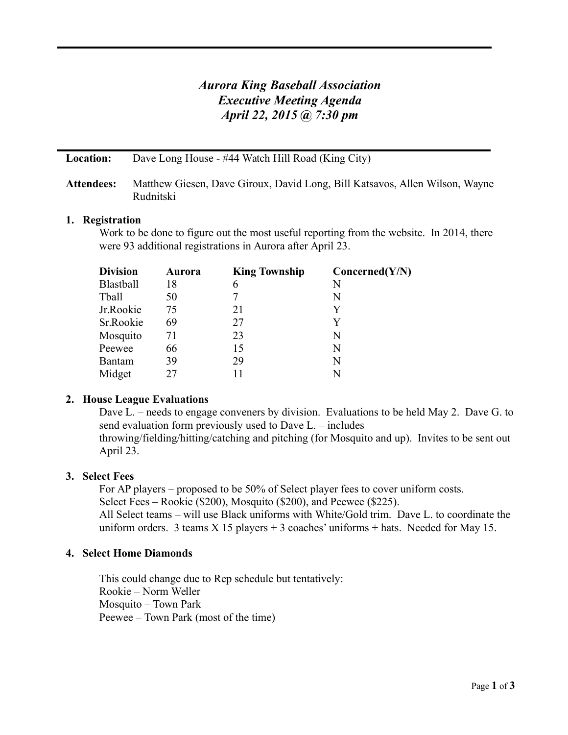# *Aurora King Baseball Association Executive Meeting Agenda April 22, 2015 @ 7:30 pm*

**Location:** Dave Long House - #44 Watch Hill Road (King City)

# **Attendees:** Matthew Giesen, Dave Giroux, David Long, Bill Katsavos, Allen Wilson, Wayne Rudnitski

# **1. Registration**

Work to be done to figure out the most useful reporting from the website. In 2014, there were 93 additional registrations in Aurora after April 23.

| <b>Division</b>  | Aurora | <b>King Township</b> | Concerned(Y/N) |
|------------------|--------|----------------------|----------------|
| <b>Blastball</b> | 18     | 6                    | N              |
| Tball            | 50     |                      | N              |
| Jr.Rookie        | 75     | 21                   | Y              |
| Sr.Rookie        | 69     | 27                   | Y              |
| Mosquito         | 71     | 23                   | N              |
| Peewee           | 66     | 15                   | N              |
| <b>Bantam</b>    | 39     | 29                   | N              |
| Midget           | 27     |                      | N              |

# **2. House League Evaluations**

Dave L. – needs to engage conveners by division. Evaluations to be held May 2. Dave G. to send evaluation form previously used to Dave L. – includes

throwing/fielding/hitting/catching and pitching (for Mosquito and up). Invites to be sent out April 23.

# **3. Select Fees**

For AP players – proposed to be 50% of Select player fees to cover uniform costs. Select Fees – Rookie (\$200), Mosquito (\$200), and Peewee (\$225). All Select teams – will use Black uniforms with White/Gold trim. Dave L. to coordinate the uniform orders. 3 teams  $X$  15 players + 3 coaches' uniforms + hats. Needed for May 15.

# **4. Select Home Diamonds**

This could change due to Rep schedule but tentatively: Rookie – Norm Weller Mosquito – Town Park Peewee – Town Park (most of the time)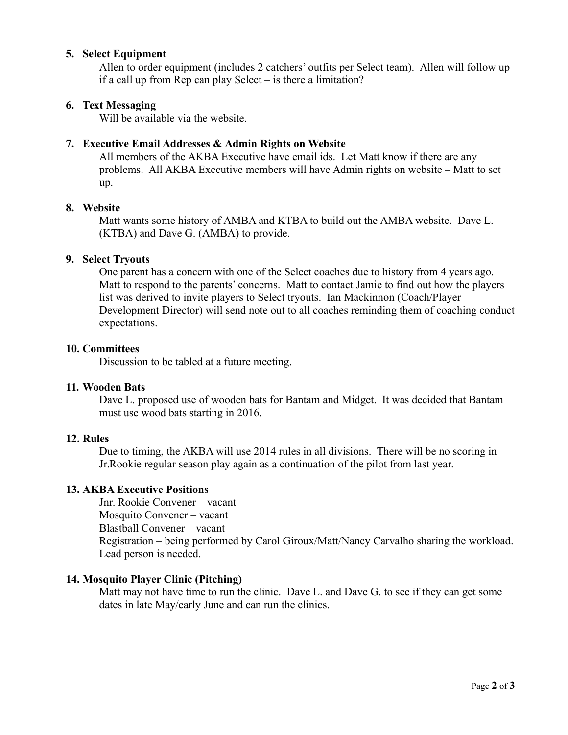# **5. Select Equipment**

Allen to order equipment (includes 2 catchers' outfits per Select team). Allen will follow up if a call up from Rep can play Select – is there a limitation?

# **6. Text Messaging**

Will be available via the website.

# **7. Executive Email Addresses & Admin Rights on Website**

All members of the AKBA Executive have email ids. Let Matt know if there are any problems. All AKBA Executive members will have Admin rights on website – Matt to set up.

#### **8. Website**

Matt wants some history of AMBA and KTBA to build out the AMBA website. Dave L. (KTBA) and Dave G. (AMBA) to provide.

#### **9. Select Tryouts**

One parent has a concern with one of the Select coaches due to history from 4 years ago. Matt to respond to the parents' concerns. Matt to contact Jamie to find out how the players list was derived to invite players to Select tryouts. Ian Mackinnon (Coach/Player Development Director) will send note out to all coaches reminding them of coaching conduct expectations.

#### **10. Committees**

Discussion to be tabled at a future meeting.

#### **11. Wooden Bats**

Dave L. proposed use of wooden bats for Bantam and Midget. It was decided that Bantam must use wood bats starting in 2016.

#### **12. Rules**

Due to timing, the AKBA will use 2014 rules in all divisions. There will be no scoring in Jr.Rookie regular season play again as a continuation of the pilot from last year.

# **13. AKBA Executive Positions**

Jnr. Rookie Convener – vacant Mosquito Convener – vacant Blastball Convener – vacant Registration – being performed by Carol Giroux/Matt/Nancy Carvalho sharing the workload. Lead person is needed.

# **14. Mosquito Player Clinic (Pitching)**

Matt may not have time to run the clinic. Dave L. and Dave G. to see if they can get some dates in late May/early June and can run the clinics.